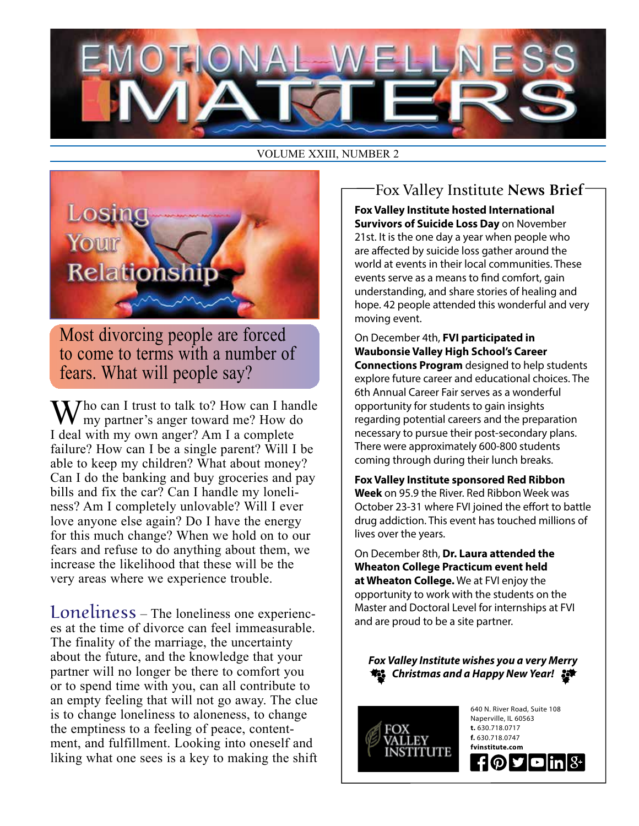### VOLUME XXIII, NUMBER 2



Most divorcing people are forced to come to terms with a number of fears. What will people say?

 $\sum$  Tho can I trust to talk to? How can I handle my partner's anger toward me? How do I deal with my own anger? Am I a complete failure? How can I be a single parent? Will I be able to keep my children? What about money? Can I do the banking and buy groceries and pay bills and fix the car? Can I handle my loneliness? Am I completely unlovable? Will I ever love anyone else again? Do I have the energy for this much change? When we hold on to our fears and refuse to do anything about them, we increase the likelihood that these will be the very areas where we experience trouble.

Loneliness – The loneliness one experiences at the time of divorce can feel immeasurable. The finality of the marriage, the uncertainty about the future, and the knowledge that your partner will no longer be there to comfort you or to spend time with you, can all contribute to an empty feeling that will not go away. The clue is to change loneliness to aloneness, to change the emptiness to a feeling of peace, contentment, and fulfillment. Looking into oneself and liking what one sees is a key to making the shift

### Fox Valley Institute **News Brief**

**Fox Valley Institute hosted International Survivors of Suicide Loss Day** on November 21st. It is the one day a year when people who are affected by suicide loss gather around the world at events in their local communities. These events serve as a means to find comfort, gain understanding, and share stories of healing and hope. 42 people attended this wonderful and very moving event.

On December 4th, **FVI participated in Waubonsie Valley High School's Career Connections Program** designed to help students explore future career and educational choices. The 6th Annual Career Fair serves as a wonderful opportunity for students to gain insights regarding potential careers and the preparation necessary to pursue their post-secondary plans. There were approximately 600-800 students coming through during their lunch breaks.

**Fox Valley Institute sponsored Red Ribbon Week** on 95.9 the River. Red Ribbon Week was October 23-31 where FVI joined the effort to battle drug addiction. This event has touched millions of lives over the years.

On December 8th, **Dr. Laura attended the Wheaton College Practicum event held at Wheaton College.** We at FVI enjoy the opportunity to work with the students on the Master and Doctoral Level for internships at FVI and are proud to be a site partner.

*Fox Valley Institute wishes you a very Merry Christmas and a Happy New Year!*



640 N. River Road, Suite 108 Naperville, IL 60563 **t.** 630.718.0717 **f.** 630.718.0747 **fvinstitute.com** ものす  $\blacksquare$ in $\mathsf{B}^+$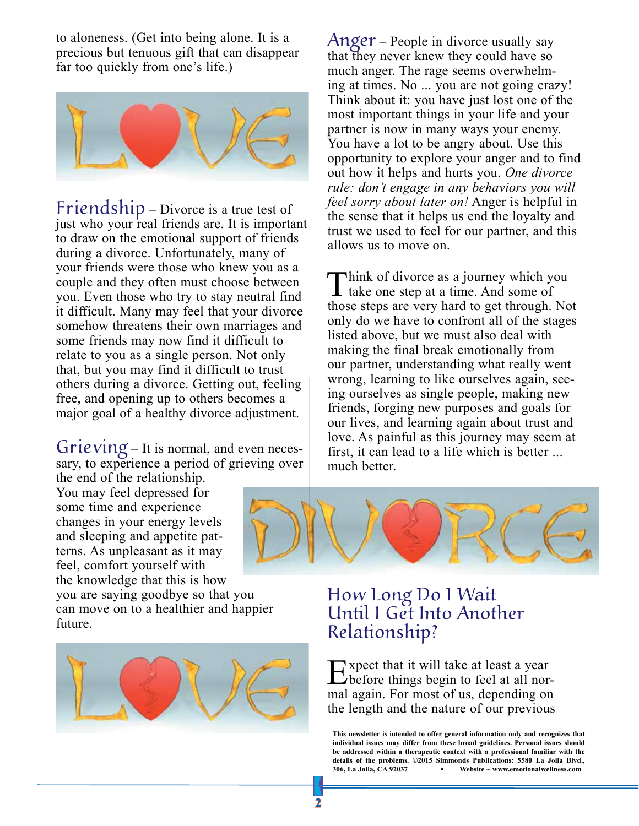to aloneness. (Get into being alone. It is a precious but tenuous gift that can disappear far too quickly from one's life.)



Friendship – Divorce is a true test of just who your real friends are. It is important to draw on the emotional support of friends during a divorce. Unfortunately, many of your friends were those who knew you as a couple and they often must choose between you. Even those who try to stay neutral find it difficult. Many may feel that your divorce somehow threatens their own marriages and some friends may now find it difficult to relate to you as a single person. Not only that, but you may find it difficult to trust others during a divorce. Getting out, feeling free, and opening up to others becomes a major goal of a healthy divorce adjustment.

Grieving – It is normal, and even necessary, to experience a period of grieving over

the end of the relationship. You may feel depressed for some time and experience changes in your energy levels and sleeping and appetite patterns. As unpleasant as it may feel, comfort yourself with the knowledge that this is how

you are saying goodbye so that you can move on to a healthier and happier future.



 $\text{Anger}$  – People in divorce usually say that they never knew they could have so much anger. The rage seems overwhelming at times. No ... you are not going crazy! Think about it: you have just lost one of the most important things in your life and your partner is now in many ways your enemy. You have a lot to be angry about. Use this opportunity to explore your anger and to find out how it helps and hurts you. *One divorce rule: don't engage in any behaviors you will feel sorry about later on!* Anger is helpful in the sense that it helps us end the loyalty and trust we used to feel for our partner, and this allows us to move on.

Think of divorce as a journey which you<br>take one step at a time. And some of those steps are very hard to get through. Not only do we have to confront all of the stages listed above, but we must also deal with making the final break emotionally from our partner, understanding what really went wrong, learning to like ourselves again, seeing ourselves as single people, making new friends, forging new purposes and goals for our lives, and learning again about trust and love. As painful as this journey may seem at first, it can lead to a life which is better ... much better.



## How Long Do I Wait Until I Get Into Another Relationship?

Expect that it will take at least a year<br>before things begin to feel at all normal again. For most of us, depending on the length and the nature of our previous

**This newsletter is intended to offer general information only and recognizes that individual issues may differ from these broad guidelines. Personal issues should be addressed within a therapeutic context with a professional familiar with the details of the problems. ©2015 Simmonds Publications: 5580 La Jolla Blvd., 306, La Jolla, CA 92037 • Website ~ www.emotionalwellness.com**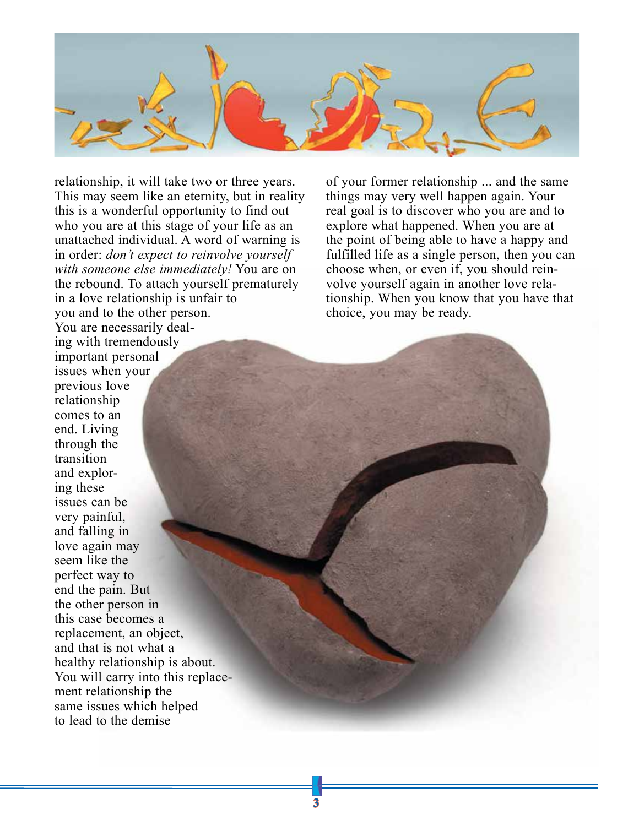

relationship, it will take two or three years. This may seem like an eternity, but in reality this is a wonderful opportunity to find out who you are at this stage of your life as an unattached individual. A word of warning is in order: *don't expect to reinvolve yourself with someone else immediately!* You are on the rebound. To attach yourself prematurely in a love relationship is unfair to you and to the other person. You are necessarily dealing with tremendously important personal issues when your previous love relationship comes to an end. Living through the transition and exploring these issues can be very painful, and falling in love again may seem like the perfect way to end the pain. But the other person in this case becomes a replacement, an object, and that is not what a healthy relationship is about. You will carry into this replacement relationship the same issues which helped to lead to the demise

of your former relationship ... and the same things may very well happen again. Your real goal is to discover who you are and to explore what happened. When you are at the point of being able to have a happy and fulfilled life as a single person, then you can choose when, or even if, you should reinvolve yourself again in another love relationship. When you know that you have that choice, you may be ready.